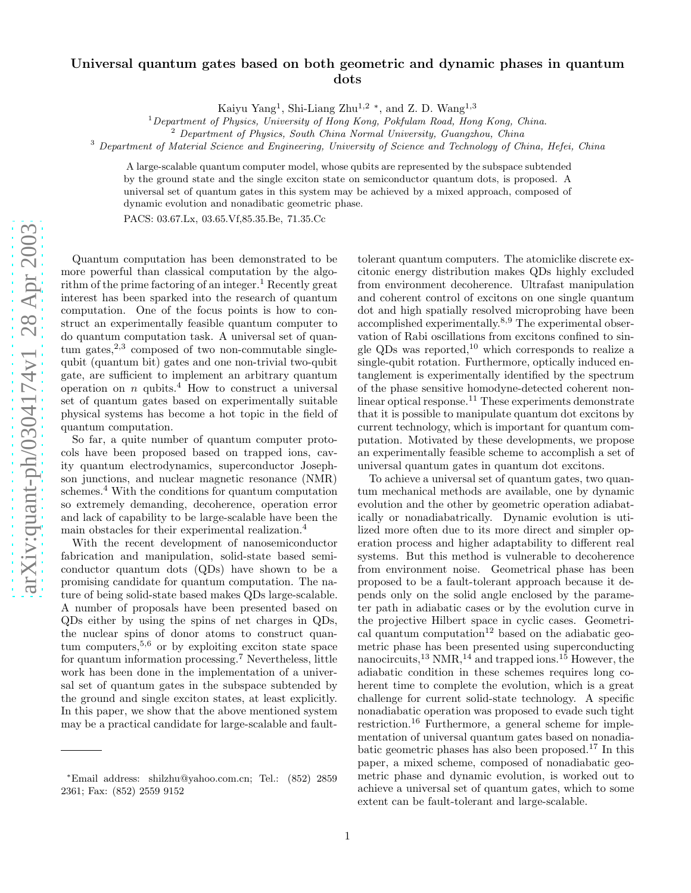## Universal quantum gates based on both geometric and dynamic phases in quantum dots

Kaiyu Yang<sup>1</sup>, Shi-Liang Zhu<sup>1,2</sup><sup>\*</sup>, and Z. D. Wang<sup>1,3</sup>

<sup>1</sup>Department of Physics, University of Hong Kong, Pokfulam Road, Hong Kong, China.<br><sup>2</sup> Department of Physics, South China Normal University, Guangzhou, China

<sup>3</sup> Department of Material Science and Engineering, University of Science and Technology of China, Hefei, China

A large-scalable quantum computer model, whose qubits are represented by the subspace subtended by the ground state and the single exciton state on semiconductor quantum dots, is proposed. A universal set of quantum gates in this system may be achieved by a mixed approach, composed of dynamic evolution and nonadibatic geometric phase.

PACS: 03.67.Lx, 03.65.Vf,85.35.Be, 71.35.Cc

Quantum computation has been demonstrated to be more powerful than classical computation by the algorithm of the prime factoring of an integer.<sup>1</sup> Recently great interest has been sparked into the research of quantum computation. One of the focus points is how to construct an experimentally feasible quantum computer to do quantum computation task. A universal set of quan $tum$  gates,<sup>2,3</sup> composed of two non-commutable singlequbit (quantum bit) gates and one non-trivial two-qubit gate, are sufficient to implement an arbitrary quantum operation on  $n$  qubits.<sup>4</sup> How to construct a universal set of quantum gates based on experimentally suitable physical systems has become a hot topic in the field of quantum computation.

So far, a quite number of quantum computer protocols have been proposed based on trapped ions, cavity quantum electrodynamics, superconductor Josephson junctions, and nuclear magnetic resonance (NMR) schemes. <sup>4</sup> With the conditions for quantum computation so extremely demanding, decoherence, operation error and lack of capability to be large-scalable have been the main obstacles for their experimental realization. 4

With the recent development of nanosemiconductor fabrication and manipulation, solid-state based semiconductor quantum dots (QDs) have shown to be a promising candidate for quantum computation. The nature of being solid-state based makes QDs large-scalable. A number of proposals have been presented based on QDs either by using the spins of net charges in QDs, the nuclear spins of donor atoms to construct quantum computers,  $5,6$  or by exploiting exciton state space for quantum information processing. <sup>7</sup> Nevertheless, little work has been done in the implementation of a universal set of quantum gates in the subspace subtended by the ground and single exciton states, at least explicitly. In this paper, we show that the above mentioned system may be a practical candidate for large-scalable and faulttolerant quantum computers. The atomiclike discrete excitonic energy distribution makes QDs highly excluded from environment decoherence. Ultrafast manipulation and coherent control of excitons on one single quantum dot and high spatially resolved microprobing have been accomplished experimentally.<sup>8,9</sup> The experimental observation of Rabi oscillations from excitons confined to single QDs was reported,<sup>10</sup> which corresponds to realize a single-qubit rotation. Furthermore, optically induced entanglement is experimentally identified by the spectrum of the phase sensitive homodyne-detected coherent nonlinear optical response.<sup>11</sup> These experiments demonstrate that it is possible to manipulate quantum dot excitons by current technology, which is important for quantum computation. Motivated by these developments, we propose an experimentally feasible scheme to accomplish a set of universal quantum gates in quantum dot excitons.

To achieve a universal set of quantum gates, two quantum mechanical methods are available, one by dynamic evolution and the other by geometric operation adiabatically or nonadiabatrically. Dynamic evolution is utilized more often due to its more direct and simpler operation process and higher adaptability to different real systems. But this method is vulnerable to decoherence from environment noise. Geometrical phase has been proposed to be a fault-tolerant approach because it depends only on the solid angle enclosed by the parameter path in adiabatic cases or by the evolution curve in the projective Hilbert space in cyclic cases. Geometrical quantum computation<sup>12</sup> based on the adiabatic geometric phase has been presented using superconducting nanocircuits,<sup>13</sup> NMR,<sup>14</sup> and trapped ions.<sup>15</sup> However, the adiabatic condition in these schemes requires long coherent time to complete the evolution, which is a great challenge for current solid-state technology. A specific nonadiabatic operation was proposed to evade such tight restriction.<sup>16</sup> Furthermore, a general scheme for implementation of universal quantum gates based on nonadiabatic geometric phases has also been proposed.<sup>17</sup> In this paper, a mixed scheme, composed of nonadiabatic geometric phase and dynamic evolution, is worked out to achieve a universal set of quantum gates, which to some extent can be fault-tolerant and large-scalable.

<sup>∗</sup>Email address: shilzhu@yahoo.com.cn; Tel.: (852) 2859 2361; Fax: (852) 2559 9152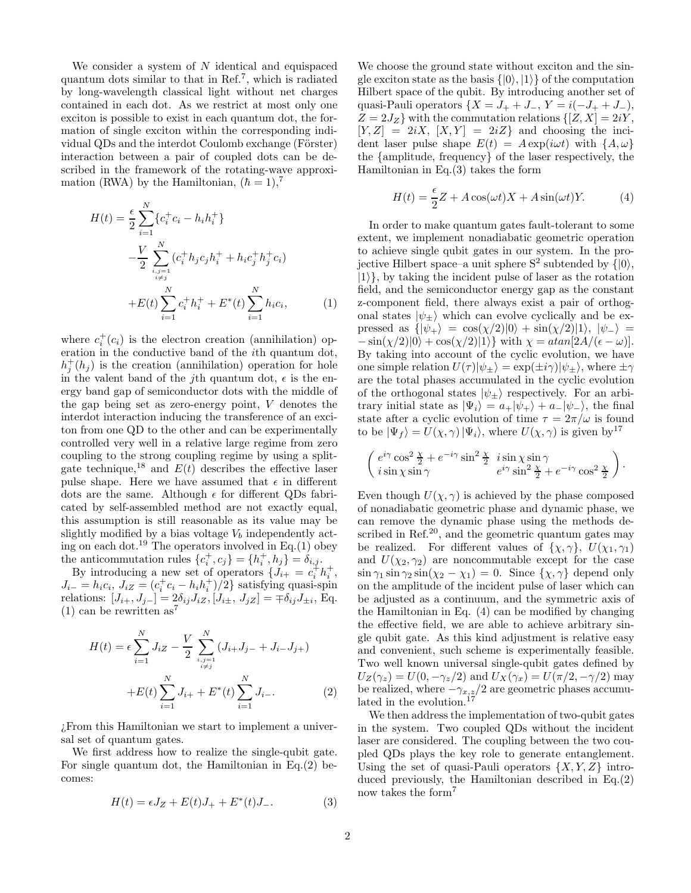We consider a system of  $N$  identical and equispaced quantum dots similar to that in Ref.<sup>7</sup> , which is radiated by long-wavelength classical light without net charges contained in each dot. As we restrict at most only one exciton is possible to exist in each quantum dot, the formation of single exciton within the corresponding individual QDs and the interdot Coulomb exchange (Förster) interaction between a pair of coupled dots can be described in the framework of the rotating-wave approximation (RWA) by the Hamiltonian,  $(\hbar = 1),^7$ 

$$
H(t) = \frac{\epsilon}{2} \sum_{i=1}^{N} \{c_i^+ c_i - h_i h_i^+\}
$$
  

$$
- \frac{V}{2} \sum_{\substack{i,j=1 \ i \neq j}}^{N} (c_i^+ h_j c_j h_i^+ + h_i c_j^+ h_j^+ c_i)
$$
  

$$
+ E(t) \sum_{i=1}^{N} c_i^+ h_i^+ + E^*(t) \sum_{i=1}^{N} h_i c_i,
$$
 (1)

where  $c_i^+(c_i)$  is the electron creation (annihilation) operation in the conductive band of the ith quantum dot,  $h_j^+(h_j)$  is the creation (annihilation) operation for hole in the valent band of the j<sup>th</sup> quantum dot,  $\epsilon$  is the energy band gap of semiconductor dots with the middle of the gap being set as zero-energy point, V denotes the interdot interaction inducing the transference of an exciton from one QD to the other and can be experimentally controlled very well in a relative large regime from zero coupling to the strong coupling regime by using a splitgate technique,<sup>18</sup> and  $E(t)$  describes the effective laser pulse shape. Here we have assumed that  $\epsilon$  in different dots are the same. Although  $\epsilon$  for different QDs fabricated by self-assembled method are not exactly equal, this assumption is still reasonable as its value may be slightly modified by a bias voltage  $V<sub>b</sub>$  independently acting on each dot.<sup>19</sup> The operators involved in Eq.(1) obey the anticommutation rules  $\{c_i^+, c_j\} = \{h_i^+, h_j\} = \delta_{i,j}$ .

By introducing a new set of operators  $\{J_{i+} = c_i^{\dagger} h_i^+,$  $J_{i-} = h_i c_i, J_{iZ} = (c_i^+ c_i - h_i h_i^+)/2$ } satisfying quasi-spin relations:  $[J_{i+}, J_{j-}] = 2\delta_{ij} J_{iZ}, [J_{i\pm}, J_{jZ}] = \pm \delta_{ij} J_{\pm i},$  Eq. (1) can be rewritten  $as^7$ 

$$
H(t) = \epsilon \sum_{i=1}^{N} J_{iZ} - \frac{V}{2} \sum_{\substack{i,j=1 \ i \neq j}}^{N} (J_{i+}J_{j-} + J_{i-}J_{j+}) + E(t) \sum_{i=1}^{N} J_{i+} + E^*(t) \sum_{i=1}^{N} J_{i-}.
$$
 (2)

¿From this Hamiltonian we start to implement a universal set of quantum gates.

We first address how to realize the single-qubit gate. For single quantum dot, the Hamiltonian in Eq.(2) becomes:

$$
H(t) = \epsilon J_Z + E(t)J_+ + E^*(t)J_-. \tag{3}
$$

We choose the ground state without exciton and the single exciton state as the basis  $\{|0\rangle, |1\rangle\}$  of the computation Hilbert space of the qubit. By introducing another set of quasi-Pauli operators  $\{X = J_+ + J_-, Y = i(-J_+ + J_-),\}$  $Z = 2J_Z$  with the commutation relations  $\{[Z, X] = 2iY,$  $[Y, Z] = 2iX, [X, Y] = 2iZ$  and choosing the incident laser pulse shape  $E(t) = A \exp(i \omega t)$  with  $\{A, \omega\}$ the {amplitude, frequency} of the laser respectively, the Hamiltonian in Eq.(3) takes the form

$$
H(t) = \frac{\epsilon}{2}Z + A\cos(\omega t)X + A\sin(\omega t)Y.
$$
 (4)

In order to make quantum gates fault-tolerant to some extent, we implement nonadiabatic geometric operation to achieve single qubit gates in our system. In the projective Hilbert space–a unit sphere  $S^2$  subtended by  $\{|0\rangle,$  $|1\rangle$ , by taking the incident pulse of laser as the rotation field, and the semiconductor energy gap as the constant z-component field, there always exist a pair of orthogonal states  $|\psi_+\rangle$  which can evolve cyclically and be expressed as  $\{|\psi_+\rangle = \cos(\chi/2)|0\rangle + \sin(\chi/2)|1\rangle, |\psi_-\rangle =$  $-\sin(\chi/2)|0\rangle + \cos(\chi/2)|1\rangle$  with  $\chi = \frac{atan[2A}{(\epsilon - \omega)}$ . By taking into account of the cyclic evolution, we have one simple relation  $U(\tau)|\psi_{\pm}\rangle = \exp(\pm i\gamma)|\psi_{\pm}\rangle$ , where  $\pm \gamma$ are the total phases accumulated in the cyclic evolution of the orthogonal states  $|\psi_{\pm}\rangle$  respectively. For an arbitrary initial state as  $|\Psi_i\rangle = a_+|\psi_+\rangle + a_-|\psi_-\rangle$ , the final state after a cyclic evolution of time  $\tau = 2\pi/\omega$  is found to be  $|\Psi_f\rangle = U(\chi, \gamma) |\Psi_i\rangle$ , where  $U(\chi, \gamma)$  is given by  $^{17}$ 

$$
\left(\begin{array}{l} e^{i\gamma}\cos^2\frac{\chi}{2}+e^{-i\gamma}\sin^2\frac{\chi}{2} \;\; i\sin\chi\sin\gamma \; \\ i\sin\chi\sin\gamma \qquad \qquad e^{i\gamma}\sin^2\frac{\chi}{2}+e^{-i\gamma}\cos^2\frac{\chi}{2} \end{array}\right).
$$

Even though  $U(\chi, \gamma)$  is achieved by the phase composed of nonadiabatic geometric phase and dynamic phase, we can remove the dynamic phase using the methods described in Ref.<sup>20</sup>, and the geometric quantum gates may be realized. For different values of  $\{\chi, \gamma\}, U(\chi_1, \gamma_1)$ and  $U(\chi_2, \gamma_2)$  are noncommutable except for the case  $\sin \gamma_1 \sin \gamma_2 \sin(\chi_2 - \chi_1) = 0$ . Since  $\{\chi, \gamma\}$  depend only on the amplitude of the incident pulse of laser which can be adjusted as a continuum, and the symmetric axis of the Hamiltonian in Eq. (4) can be modified by changing the effective field, we are able to achieve arbitrary single qubit gate. As this kind adjustment is relative easy and convenient, such scheme is experimentally feasible. Two well known universal single-qubit gates defined by  $U_Z(\gamma_z) = U(0, -\gamma_z/2)$  and  $U_X(\gamma_x) = U(\pi/2, -\gamma/2)$  may be realized, where  $-\gamma_{x,z}/2$  are geometric phases accumulated in the evolution.<sup>17</sup>

We then address the implementation of two-qubit gates in the system. Two coupled QDs without the incident laser are considered. The coupling between the two coupled QDs plays the key role to generate entanglement. Using the set of quasi-Pauli operators  $\{X, Y, Z\}$  introduced previously, the Hamiltonian described in Eq.(2) now takes the form<sup>7</sup>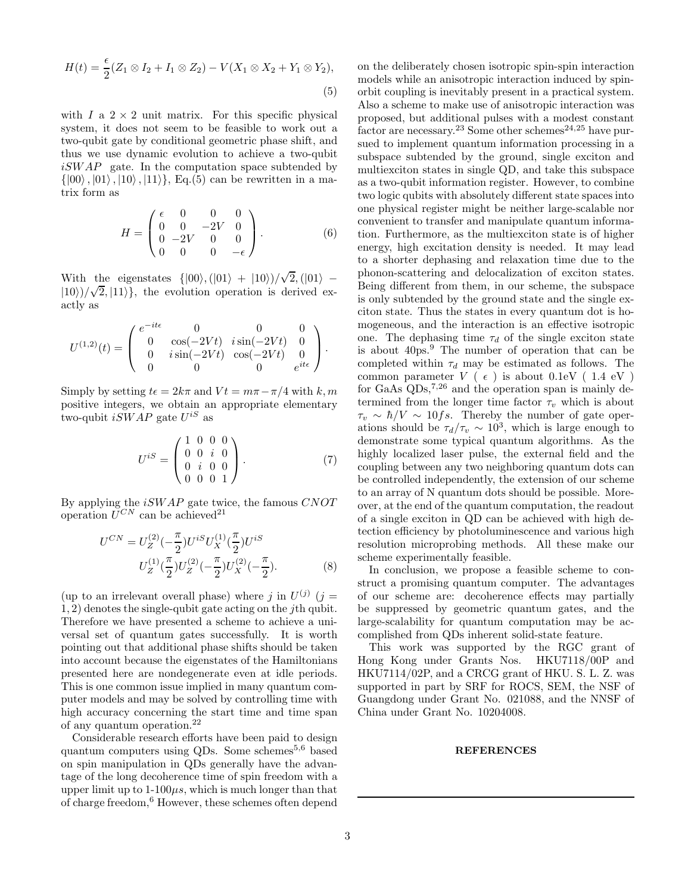$$
H(t) = \frac{\epsilon}{2}(Z_1 \otimes I_2 + I_1 \otimes Z_2) - V(X_1 \otimes X_2 + Y_1 \otimes Y_2),
$$
\n(5)

with  $I$  a  $2 \times 2$  unit matrix. For this specific physical system, it does not seem to be feasible to work out a two-qubit gate by conditional geometric phase shift, and thus we use dynamic evolution to achieve a two-qubit  $iSWAP$  gate. In the computation space subtended by  $\{|00\rangle, |01\rangle, |10\rangle, |11\rangle\},$  Eq.(5) can be rewritten in a matrix form as

$$
H = \begin{pmatrix} \epsilon & 0 & 0 & 0 \\ 0 & 0 & -2V & 0 \\ 0 & -2V & 0 & 0 \\ 0 & 0 & 0 & -\epsilon \end{pmatrix}.
$$
 (6)

With the eigenstates  $\{|00\rangle, (|01\rangle + |10\rangle)/\sqrt{2}, (|01\rangle |10\rangle$ )/ $\sqrt{2}$ ,  $|11\rangle$ }, the evolution operation is derived exactly as

$$
U^{(1,2)}(t) = \begin{pmatrix} e^{-it\epsilon} & 0 & 0 & 0 \\ 0 & \cos(-2Vt) & i\sin(-2Vt) & 0 \\ 0 & i\sin(-2Vt) & \cos(-2Vt) & 0 \\ 0 & 0 & 0 & e^{it\epsilon} \end{pmatrix}.
$$

Simply by setting  $t\epsilon = 2k\pi$  and  $Vt = m\pi - \pi/4$  with k, m positive integers, we obtain an appropriate elementary two-qubit  $iSWAP$  gate  $U^{iS}$  as

$$
U^{iS} = \begin{pmatrix} 1 & 0 & 0 & 0 \\ 0 & 0 & i & 0 \\ 0 & i & 0 & 0 \\ 0 & 0 & 0 & 1 \end{pmatrix}.
$$
 (7)

By applying the  $iSWAP$  gate twice, the famous  $CNOT$ operation  $U^{CN}$  can be achieved<sup>21</sup>

$$
U^{CN} = U_Z^{(2)}(-\frac{\pi}{2})U^{iS}U_X^{(1)}(\frac{\pi}{2})U^{iS}
$$
  

$$
U_Z^{(1)}(\frac{\pi}{2})U_Z^{(2)}(-\frac{\pi}{2})U_X^{(2)}(-\frac{\pi}{2}).
$$
 (8)

(up to an irrelevant overall phase) where j in  $U^{(j)}$  (j = 1, 2) denotes the single-qubit gate acting on the jth qubit. Therefore we have presented a scheme to achieve a universal set of quantum gates successfully. It is worth pointing out that additional phase shifts should be taken into account because the eigenstates of the Hamiltonians presented here are nondegenerate even at idle periods. This is one common issue implied in many quantum computer models and may be solved by controlling time with high accuracy concerning the start time and time span of any quantum operation.<sup>22</sup>

Considerable research efforts have been paid to design quantum computers using QDs. Some schemes<sup>5,6</sup> based on spin manipulation in QDs generally have the advantage of the long decoherence time of spin freedom with a upper limit up to  $1-100\mu s$ , which is much longer than that of charge freedom,<sup>6</sup> However, these schemes often depend on the deliberately chosen isotropic spin-spin interaction models while an anisotropic interaction induced by spinorbit coupling is inevitably present in a practical system. Also a scheme to make use of anisotropic interaction was proposed, but additional pulses with a modest constant  $\frac{1}{6}$  factor are necessary.<sup>23</sup> Some other schemes<sup>24,25</sup> have pursued to implement quantum information processing in a subspace subtended by the ground, single exciton and multiexciton states in single QD, and take this subspace as a two-qubit information register. However, to combine two logic qubits with absolutely different state spaces into one physical register might be neither large-scalable nor convenient to transfer and manipulate quantum information. Furthermore, as the multiexciton state is of higher energy, high excitation density is needed. It may lead to a shorter dephasing and relaxation time due to the phonon-scattering and delocalization of exciton states. Being different from them, in our scheme, the subspace is only subtended by the ground state and the single exciton state. Thus the states in every quantum dot is homogeneous, and the interaction is an effective isotropic one. The dephasing time  $\tau_d$  of the single exciton state is about 40ps.<sup>9</sup> The number of operation that can be completed within  $\tau_d$  may be estimated as follows. The common parameter  $V$  (  $\epsilon$  ) is about 0.1eV ( 1.4 eV ) for GaAs  $QDs$ ,  $7,26$  and the operation span is mainly determined from the longer time factor  $\tau_v$  which is about  $\tau_v \sim \hbar/V \sim 10fs$ . Thereby the number of gate operations should be  $\tau_d/\tau_v \sim 10^3$ , which is large enough to demonstrate some typical quantum algorithms. As the highly localized laser pulse, the external field and the coupling between any two neighboring quantum dots can be controlled independently, the extension of our scheme to an array of N quantum dots should be possible. Moreover, at the end of the quantum computation, the readout of a single exciton in QD can be achieved with high detection efficiency by photoluminescence and various high resolution microprobing methods. All these make our scheme experimentally feasible.

In conclusion, we propose a feasible scheme to construct a promising quantum computer. The advantages of our scheme are: decoherence effects may partially be suppressed by geometric quantum gates, and the large-scalability for quantum computation may be accomplished from QDs inherent solid-state feature.

This work was supported by the RGC grant of Hong Kong under Grants Nos. HKU7118/00P and HKU7114/02P, and a CRCG grant of HKU. S. L. Z. was supported in part by SRF for ROCS, SEM, the NSF of Guangdong under Grant No. 021088, and the NNSF of China under Grant No. 10204008.

## **REFERENCES**